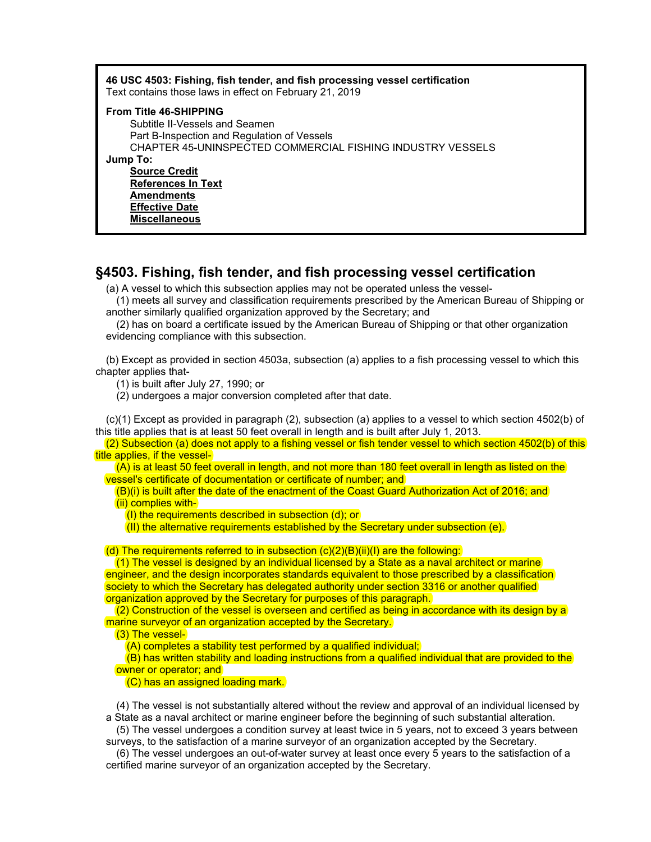| 46 USC 4503: Fishing, fish tender, and fish processing vessel certification<br>Text contains those laws in effect on February 21, 2019                                                                                                                                                                              |
|---------------------------------------------------------------------------------------------------------------------------------------------------------------------------------------------------------------------------------------------------------------------------------------------------------------------|
| <b>From Title 46-SHIPPING</b><br>Subtitle II-Vessels and Seamen<br>Part B-Inspection and Regulation of Vessels<br>CHAPTER 45-UNINSPECTED COMMERCIAL FISHING INDUSTRY VESSELS<br>Jump To:<br><b>Source Credit</b><br><b>References In Text</b><br><b>Amendments</b><br><b>Effective Date</b><br><b>Miscellaneous</b> |

# §4503. Fishing, fish tender, and fish processing vessel certification

(a) A vessel to which this subsection applies may not be operated unless the vessel-

(1) meets all survey and classification requirements prescribed by the American Bureau of Shipping or another similarly qualified organization approved by the Secretary; and

(2) has on board a certificate issued by the American Bureau of Shipping or that other organization evidencing compliance with this subsection.

(b) Except as provided in section 4503a, subsection (a) applies to a fish processing vessel to which this chapter applies that-

(1) is built after July 27, 1990; or

(2) undergoes a major conversion completed after that date.

(c)(1) Except as provided in paragraph (2), subsection (a) applies to a vessel to which section 4502(b) of this title applies that is at least 50 feet overall in length and is built after July 1, 2013.

(2) Subsection (a) does not apply to a fishing vessel or fish tender vessel to which section 4502(b) of this title applies, if the vessel-

(A) is at least 50 feet overall in length, and not more than 180 feet overall in length as listed on the vessel's certificate of documentation or certificate of number; and

(B)(i) is built after the date of the enactment of the Coast Guard Authorization Act of 2016; and (ii) complies with-

 $(1)$  the requirements described in subsection  $(d)$ ; or

 $\overline{\text{(II)}}$  the alternative requirements established by the Secretary under subsection (e).

(d) The requirements referred to in subsection  $(c)(2)(B)(ii)(I)$  are the following:

(1) The vessel is designed by an individual licensed by a State as a naval architect or marine engineer, and the design incorporates standards equivalent to those prescribed by a classification society to which the Secretary has delegated authority under section 3316 or another qualified organization approved by the Secretary for purposes of this paragraph.

 $(2)$  Construction of the vessel is overseen and certified as being in accordance with its design by a marine surveyor of an organization accepted by the Secretary.

(3) The vessel-

(A) completes a stability test performed by a qualified individual;

(B) has written stability and loading instructions from a qualified individual that are provided to the owner or operator; and

(C) has an assigned loading mark.

(4) The vessel is not substantially altered without the review and approval of an individual licensed by a State as a naval architect or marine engineer before the beginning of such substantial alteration.

(5) The vessel undergoes a condition survey at least twice in 5 years, not to exceed 3 years between surveys, to the satisfaction of a marine surveyor of an organization accepted by the Secretary.

(6) The vessel undergoes an out-of-water survey at least once every 5 years to the satisfaction of a certified marine surveyor of an organization accepted by the Secretary.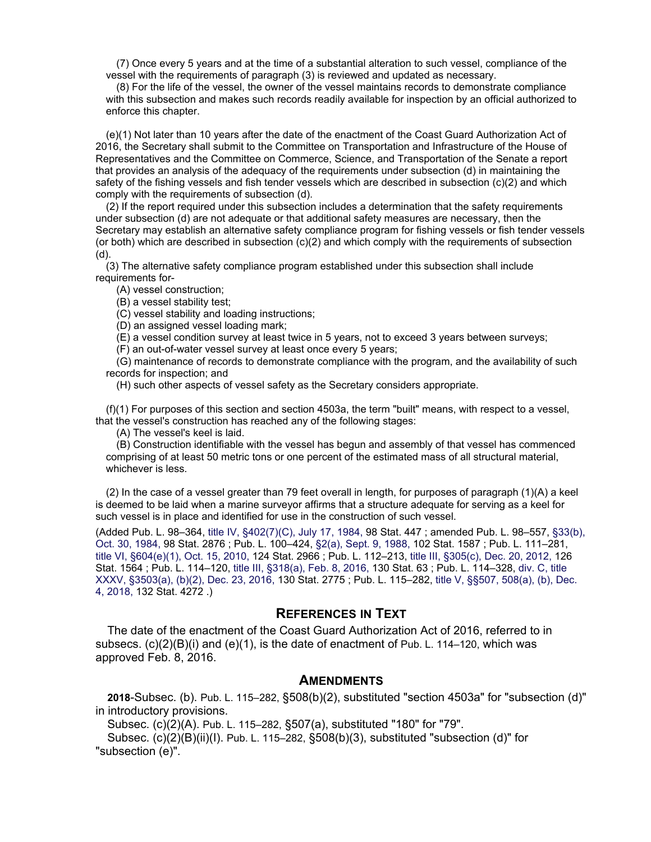(7) Once every 5 years and at the time of a substantial alteration to such vessel, compliance of the vessel with the requirements of paragraph (3) is reviewed and updated as necessary.

(8) For the life of the vessel, the owner of the vessel maintains records to demonstrate compliance with this subsection and makes such records readily available for inspection by an official authorized to enforce this chapter.

(e)(1) Not later than 10 years after the date of the enactment of the Coast Guard Authorization Act of 2016, the Secretary shall submit to the Committee on Transportation and Infrastructure of the House of Representatives and the Committee on Commerce, Science, and Transportation of the Senate a report that provides an analysis of the adequacy of the requirements under subsection (d) in maintaining the safety of the fishing vessels and fish tender vessels which are described in subsection (c)(2) and which comply with the requirements of subsection (d).

(2) If the report required under this subsection includes a determination that the safety requirements under subsection (d) are not adequate or that additional safety measures are necessary, then the Secretary may establish an alternative safety compliance program for fishing vessels or fish tender vessels (or both) which are described in subsection (c)(2) and which comply with the requirements of subsection (d).

(3) The alternative safety compliance program established under this subsection shall include requirements for-

(A) vessel construction;

(B) a vessel stability test;

(C) vessel stability and loading instructions;

(D) an assigned vessel loading mark;

(E) a vessel condition survey at least twice in 5 years, not to exceed 3 years between surveys;

(F) an out-of-water vessel survey at least once every 5 years;

(G) maintenance of records to demonstrate compliance with the program, and the availability of such records for inspection; and

(H) such other aspects of vessel safety as the Secretary considers appropriate.

(f)(1) For purposes of this section and section 4503a, the term "built" means, with respect to a vessel, that the vessel's construction has reached any of the following stages:

(A) The vessel's keel is laid.

(B) Construction identifiable with the vessel has begun and assembly of that vessel has commenced comprising of at least 50 metric tons or one percent of the estimated mass of all structural material, whichever is less.

(2) In the case of a vessel greater than 79 feet overall in length, for purposes of paragraph (1)(A) a keel is deemed to be laid when a marine surveyor affirms that a structure adequate for serving as a keel for such vessel is in place and identified for use in the construction of such vessel.

(Added Pub. L. 98–364, title IV, §402(7)(C), July 17, 1984, 98 Stat. 447 ; amended Pub. L. 98–557, §33(b), Oct. 30, 1984, 98 Stat. 2876 ; Pub. L. 100–424, §2(a), Sept. 9, 1988, 102 Stat. 1587 ; Pub. L. 111–281, title VI, §604(e)(1), Oct. 15, 2010, 124 Stat. 2966 ; Pub. L. 112–213, title III, §305(c), Dec. 20, 2012, 126 Stat. 1564 ; Pub. L. 114–120, title III, §318(a), Feb. 8, 2016, 130 Stat. 63 ; Pub. L. 114–328, div. C, title XXXV, §3503(a), (b)(2), Dec. 23, 2016, 130 Stat. 2775 ; Pub. L. 115–282, title V, §§507, 508(a), (b), Dec. 4, 2018, 132 Stat. 4272 .)

### REFERENCES IN TEXT

The date of the enactment of the Coast Guard Authorization Act of 2016, referred to in subsecs.  $(c)(2)(B)(i)$  and  $(e)(1)$ , is the date of enactment of Pub. L. 114–120, which was approved Feb. 8, 2016.

#### **AMENDMENTS**

2018-Subsec. (b). Pub. L. 115–282, §508(b)(2), substituted "section 4503a" for "subsection (d)" in introductory provisions.

Subsec. (c)(2)(A). Pub. L. 115–282, §507(a), substituted "180" for "79".

Subsec.  $(c)(2)(B)(ii)(I)$ . Pub. L. 115–282, §508 $(b)(3)$ , substituted "subsection (d)" for "subsection (e)".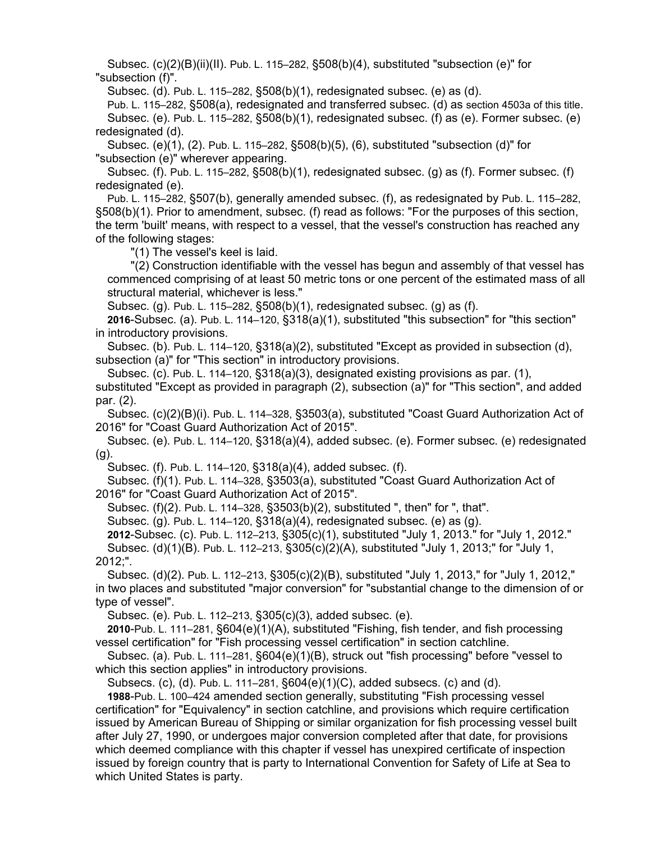Subsec. (c)(2)(B)(ii)(II). Pub. L. 115–282, §508(b)(4), substituted "subsection (e)" for "subsection (f)".

Subsec. (d). Pub. L. 115–282, §508(b)(1), redesignated subsec. (e) as (d).

Pub. L. 115–282, §508(a), redesignated and transferred subsec. (d) as section 4503a of this title. Subsec. (e). Pub. L. 115–282, §508(b)(1), redesignated subsec. (f) as (e). Former subsec. (e) redesignated (d).

Subsec. (e)(1), (2). Pub. L. 115–282, §508(b)(5), (6), substituted "subsection (d)" for "subsection (e)" wherever appearing.

Subsec. (f). Pub. L. 115–282, §508(b)(1), redesignated subsec. (g) as (f). Former subsec. (f) redesignated (e).

Pub. L. 115–282, §507(b), generally amended subsec. (f), as redesignated by Pub. L. 115–282, §508(b)(1). Prior to amendment, subsec. (f) read as follows: "For the purposes of this section, the term 'built' means, with respect to a vessel, that the vessel's construction has reached any of the following stages:

"(1) The vessel's keel is laid.

"(2) Construction identifiable with the vessel has begun and assembly of that vessel has commenced comprising of at least 50 metric tons or one percent of the estimated mass of all structural material, whichever is less."

Subsec. (g). Pub. L. 115–282, §508(b)(1), redesignated subsec. (g) as (f).

2016-Subsec. (a). Pub. L. 114–120, §318(a)(1), substituted "this subsection" for "this section" in introductory provisions.

Subsec. (b). Pub. L. 114–120, §318(a)(2), substituted "Except as provided in subsection (d), subsection (a)" for "This section" in introductory provisions.

Subsec. (c). Pub. L. 114–120, §318(a)(3), designated existing provisions as par. (1),

substituted "Except as provided in paragraph (2), subsection (a)" for "This section", and added par. (2).

Subsec. (c)(2)(B)(i). Pub. L. 114–328, §3503(a), substituted "Coast Guard Authorization Act of 2016" for "Coast Guard Authorization Act of 2015".

Subsec. (e). Pub. L. 114–120, §318(a)(4), added subsec. (e). Former subsec. (e) redesignated (g).

Subsec. (f). Pub. L. 114–120, §318(a)(4), added subsec. (f).

Subsec. (f)(1). Pub. L. 114–328, §3503(a), substituted "Coast Guard Authorization Act of 2016" for "Coast Guard Authorization Act of 2015".

Subsec. (f)(2). Pub. L. 114–328, §3503(b)(2), substituted ", then" for ", that".

Subsec. (g). Pub. L. 114–120, §318(a)(4), redesignated subsec. (e) as (g).

2012-Subsec. (c). Pub. L. 112–213, §305(c)(1), substituted "July 1, 2013." for "July 1, 2012."

Subsec. (d)(1)(B). Pub. L. 112–213, §305(c)(2)(A), substituted "July 1, 2013;" for "July 1, 2012;".

Subsec. (d)(2). Pub. L. 112–213, §305(c)(2)(B), substituted "July 1, 2013," for "July 1, 2012," in two places and substituted "major conversion" for "substantial change to the dimension of or type of vessel".

Subsec. (e). Pub. L. 112–213, §305(c)(3), added subsec. (e).

2010-Pub. L. 111–281, §604(e)(1)(A), substituted "Fishing, fish tender, and fish processing vessel certification" for "Fish processing vessel certification" in section catchline.

Subsec. (a). Pub. L. 111–281, §604(e)(1)(B), struck out "fish processing" before "vessel to which this section applies" in introductory provisions.

Subsecs. (c), (d). Pub. L. 111–281, §604(e)(1)(C), added subsecs. (c) and (d).

1988-Pub. L. 100–424 amended section generally, substituting "Fish processing vessel certification" for "Equivalency" in section catchline, and provisions which require certification issued by American Bureau of Shipping or similar organization for fish processing vessel built after July 27, 1990, or undergoes major conversion completed after that date, for provisions which deemed compliance with this chapter if vessel has unexpired certificate of inspection issued by foreign country that is party to International Convention for Safety of Life at Sea to which United States is party.